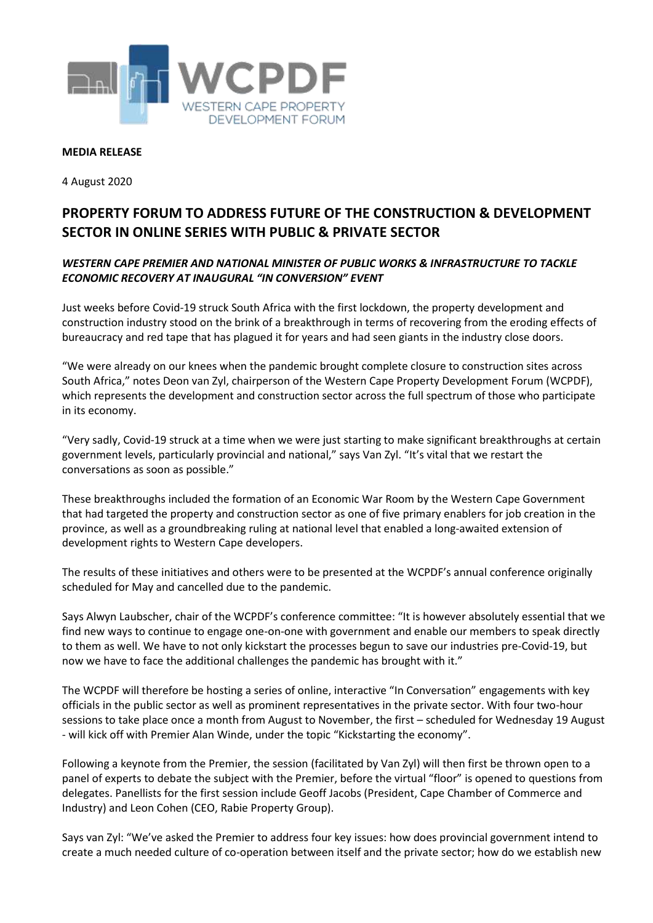

## **MEDIA RELEASE**

4 August 2020

## **PROPERTY FORUM TO ADDRESS FUTURE OF THE CONSTRUCTION & DEVELOPMENT SECTOR IN ONLINE SERIES WITH PUBLIC & PRIVATE SECTOR**

## *WESTERN CAPE PREMIER AND NATIONAL MINISTER OF PUBLIC WORKS & INFRASTRUCTURE TO TACKLE ECONOMIC RECOVERY AT INAUGURAL "IN CONVERSION" EVENT*

Just weeks before Covid-19 struck South Africa with the first lockdown, the property development and construction industry stood on the brink of a breakthrough in terms of recovering from the eroding effects of bureaucracy and red tape that has plagued it for years and had seen giants in the industry close doors.

"We were already on our knees when the pandemic brought complete closure to construction sites across South Africa," notes Deon van Zyl, chairperson of the Western Cape Property Development Forum (WCPDF), which represents the development and construction sector across the full spectrum of those who participate in its economy.

"Very sadly, Covid-19 struck at a time when we were just starting to make significant breakthroughs at certain government levels, particularly provincial and national," says Van Zyl. "It's vital that we restart the conversations as soon as possible."

These breakthroughs included the formation of an Economic War Room by the Western Cape Government that had targeted the property and construction sector as one of five primary enablers for job creation in the province, as well as a groundbreaking ruling at national level that enabled a long-awaited extension of development rights to Western Cape developers.

The results of these initiatives and others were to be presented at the WCPDF's annual conference originally scheduled for May and cancelled due to the pandemic.

Says Alwyn Laubscher, chair of the WCPDF's conference committee: "It is however absolutely essential that we find new ways to continue to engage one-on-one with government and enable our members to speak directly to them as well. We have to not only kickstart the processes begun to save our industries pre-Covid-19, but now we have to face the additional challenges the pandemic has brought with it."

The WCPDF will therefore be hosting a series of online, interactive "In Conversation" engagements with key officials in the public sector as well as prominent representatives in the private sector. With four two-hour sessions to take place once a month from August to November, the first – scheduled for Wednesday 19 August - will kick off with Premier Alan Winde, under the topic "Kickstarting the economy".

Following a keynote from the Premier, the session (facilitated by Van Zyl) will then first be thrown open to a panel of experts to debate the subject with the Premier, before the virtual "floor" is opened to questions from delegates. Panellists for the first session include Geoff Jacobs (President, Cape Chamber of Commerce and Industry) and Leon Cohen (CEO, Rabie Property Group).

Says van Zyl: "We've asked the Premier to address four key issues: how does provincial government intend to create a much needed culture of co-operation between itself and the private sector; how do we establish new